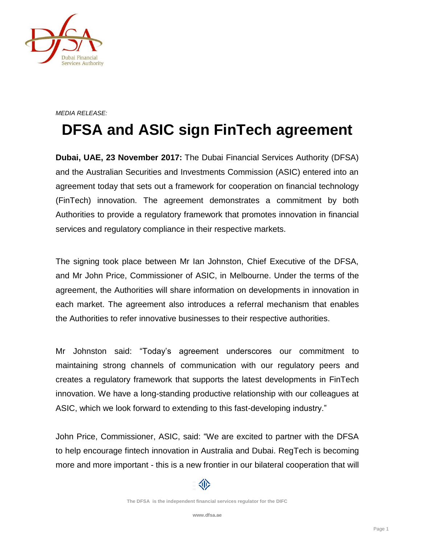

## *MEDIA RELEASE:*

## **DFSA and ASIC sign FinTech agreement**

**Dubai, UAE, 23 November 2017:** The Dubai Financial Services Authority (DFSA) and the Australian Securities and Investments Commission (ASIC) entered into an agreement today that sets out a framework for cooperation on financial technology (FinTech) innovation. The agreement demonstrates a commitment by both Authorities to provide a regulatory framework that promotes innovation in financial services and regulatory compliance in their respective markets.

The signing took place between Mr Ian Johnston, Chief Executive of the DFSA, and Mr John Price, Commissioner of ASIC, in Melbourne. Under the terms of the agreement, the Authorities will share information on developments in innovation in each market. The agreement also introduces a referral mechanism that enables the Authorities to refer innovative businesses to their respective authorities.

Mr Johnston said: "Today's agreement underscores our commitment to maintaining strong channels of communication with our regulatory peers and creates a regulatory framework that supports the latest developments in FinTech innovation. We have a long-standing productive relationship with our colleagues at ASIC, which we look forward to extending to this fast-developing industry."

John Price, Commissioner, ASIC, said: "We are excited to partner with the DFSA to help encourage fintech innovation in Australia and Dubai. RegTech is becoming more and more important - this is a new frontier in our bilateral cooperation that will

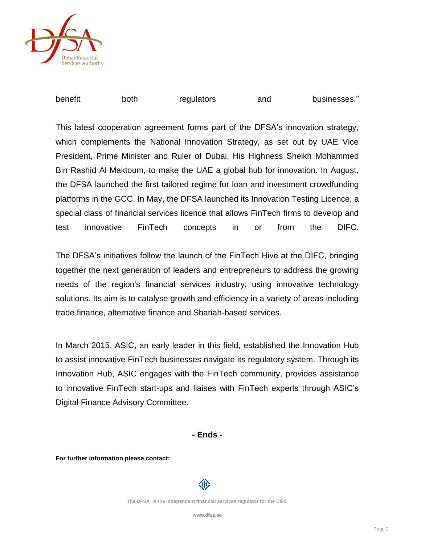

| benefit | both | regulators | and | businesses." |
|---------|------|------------|-----|--------------|
|---------|------|------------|-----|--------------|

This latest cooperation agreement forms part of the DFSA's innovation strategy, which complements the National Innovation Strategy, as set out by UAE Vice President, Prime Minister and Ruler of Dubai, His Highness Sheikh Mohammed Bin Rashid Al Maktoum, to make the UAE a global hub for innovation. In August, the DFSA launched the first tailored regime for loan and investment crowdfunding platforms in the GCC. In May, the DFSA launched its Innovation Testing Licence, a special class of financial services licence that allows FinTech firms to develop and test innovative FinTech concepts in or from the DIFC.

The DFSA's initiatives follow the launch of the FinTech Hive at the DIFC, bringing together the next generation of leaders and entrepreneurs to address the growing needs of the region's financial services industry, using innovative technology solutions. Its aim is to catalyse growth and efficiency in a variety of areas including trade finance, alternative finance and Shariah-based services.

In March 2015, ASIC, an early leader in this field, established the Innovation Hub to assist innovative FinTech businesses navigate its regulatory system. Through its Innovation Hub, ASIC engages with the FinTech community, provides assistance to innovative FinTech start-ups and liaises with FinTech experts through ASIC's Digital Finance Advisory Committee.

**- Ends -**

**For further information please contact:**

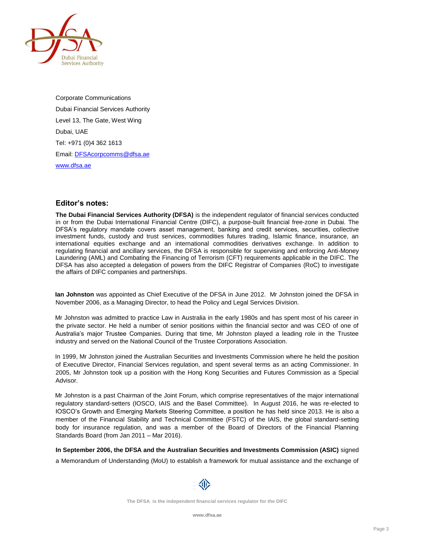

Corporate Communications Dubai Financial Services Authority Level 13, The Gate, West Wing Dubai, UAE Tel: +971 (0)4 362 1613 Email[: DFSAcorpcomms@dfsa.ae](mailto:DFSAcorpcomms@dfsa.ae) [www.dfsa.ae](http://www.dfsa.ae/)

## **Editor's notes:**

**The Dubai Financial Services Authority (DFSA)** is the independent regulator of financial services conducted in or from the Dubai International Financial Centre (DIFC), a purpose-built financial free-zone in Dubai. The DFSA's regulatory mandate covers asset management, banking and credit services, securities, collective investment funds, custody and trust services, commodities futures trading, Islamic finance, insurance, an international equities exchange and an international commodities derivatives exchange. In addition to regulating financial and ancillary services, the DFSA is responsible for supervising and enforcing Anti-Money Laundering (AML) and Combating the Financing of Terrorism (CFT) requirements applicable in the DIFC. The DFSA has also accepted a delegation of powers from the DIFC Registrar of Companies (RoC) to investigate the affairs of DIFC companies and partnerships.

**Ian Johnston** was appointed as Chief Executive of the DFSA in June 2012. Mr Johnston joined the DFSA in November 2006, as a Managing Director, to head the Policy and Legal Services Division.

Mr Johnston was admitted to practice Law in Australia in the early 1980s and has spent most of his career in the private sector. He held a number of senior positions within the financial sector and was CEO of one of Australia's major Trustee Companies. During that time, Mr Johnston played a leading role in the Trustee industry and served on the National Council of the Trustee Corporations Association.

In 1999, Mr Johnston joined the Australian Securities and Investments Commission where he held the position of Executive Director, Financial Services regulation, and spent several terms as an acting Commissioner. In 2005, Mr Johnston took up a position with the Hong Kong Securities and Futures Commission as a Special Advisor.

Mr Johnston is a past Chairman of the Joint Forum, which comprise representatives of the major international regulatory standard-setters (IOSCO, IAIS and the Basel Committee). In August 2016, he was re-elected to IOSCO's Growth and Emerging Markets Steering Committee, a position he has held since 2013. He is also a member of the Financial Stability and Technical Committee (FSTC) of the IAIS, the global standard-setting body for insurance regulation, and was a member of the Board of Directors of the Financial Planning Standards Board (from Jan 2011 – Mar 2016).

**In September 2006, the DFSA and the Australian Securities and Investments Commission (ASIC)** signed a Memorandum of Understanding (MoU) to establish a framework for mutual assistance and the exchange of